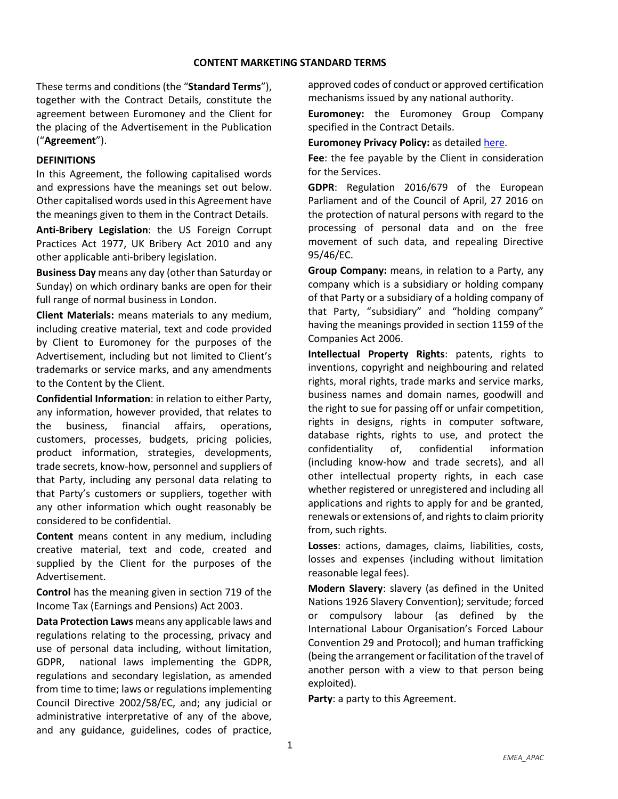These terms and conditions (the "**Standard Terms**"), together with the Contract Details, constitute the agreement between Euromoney and the Client for the placing of the Advertisement in the Publication ("**Agreement**").

#### **DEFINITIONS**

In this Agreement, the following capitalised words and expressions have the meanings set out below. Other capitalised words used in this Agreement have the meanings given to them in the Contract Details.

**Anti-Bribery Legislation**: the US Foreign Corrupt Practices Act 1977, UK Bribery Act 2010 and any other applicable anti-bribery legislation.

**Business Day** means any day (other than Saturday or Sunday) on which ordinary banks are open for their full range of normal business in London.

**Client Materials:** means materials to any medium, including creative material, text and code provided by Client to Euromoney for the purposes of the Advertisement, including but not limited to Client's trademarks or service marks, and any amendments to the Content by the Client.

**Confidential Information**: in relation to either Party, any information, however provided, that relates to the business, financial affairs, operations, customers, processes, budgets, pricing policies, product information, strategies, developments, trade secrets, know-how, personnel and suppliers of that Party, including any personal data relating to that Party's customers or suppliers, together with any other information which ought reasonably be considered to be confidential.

**Content** means content in any medium, including creative material, text and code, created and supplied by the Client for the purposes of the Advertisement.

**Control** has the meaning given in section 719 of the Income Tax (Earnings and Pensions) Act 2003.

**Data Protection Laws** means any applicable laws and regulations relating to the processing, privacy and use of personal data including, without limitation, GDPR, national laws implementing the GDPR, regulations and secondary legislation, as amended from time to time; laws or regulations implementing Council Directive 2002/58/EC, and; any judicial or administrative interpretative of any of the above, and any guidance, guidelines, codes of practice,

approved codes of conduct or approved certification mechanisms issued by any national authority.

**Euromoney:** the Euromoney Group Company specified in the Contract Details.

**Euromoney Privacy Policy:** as detailed [here.](https://www.euromoneyplc.com/privacy-policy)

**Fee**: the fee payable by the Client in consideration for the Services.

**GDPR**: Regulation 2016/679 of the European Parliament and of the Council of April, 27 2016 on the protection of natural persons with regard to the processing of personal data and on the free movement of such data, and repealing Directive 95/46/EC.

**Group Company:** means, in relation to a Party, any company which is a subsidiary or holding company of that Party or a subsidiary of a holding company of that Party, "subsidiary" and "holding company" having the meanings provided in section 1159 of the Companies Act 2006.

**Intellectual Property Rights**: patents, rights to inventions, copyright and neighbouring and related rights, moral rights, trade marks and service marks, business names and domain names, goodwill and the right to sue for passing off or unfair competition, rights in designs, rights in computer software, database rights, rights to use, and protect the confidentiality of, confidential information (including know-how and trade secrets), and all other intellectual property rights, in each case whether registered or unregistered and including all applications and rights to apply for and be granted, renewals or extensions of, and rights to claim priority from, such rights.

**Losses**: actions, damages, claims, liabilities, costs, losses and expenses (including without limitation reasonable legal fees).

**Modern Slavery**: slavery (as defined in the United Nations 1926 Slavery Convention); servitude; forced or compulsory labour (as defined by the International Labour Organisation's Forced Labour Convention 29 and Protocol); and human trafficking (being the arrangement or facilitation of the travel of another person with a view to that person being exploited).

**Party**: a party to this Agreement.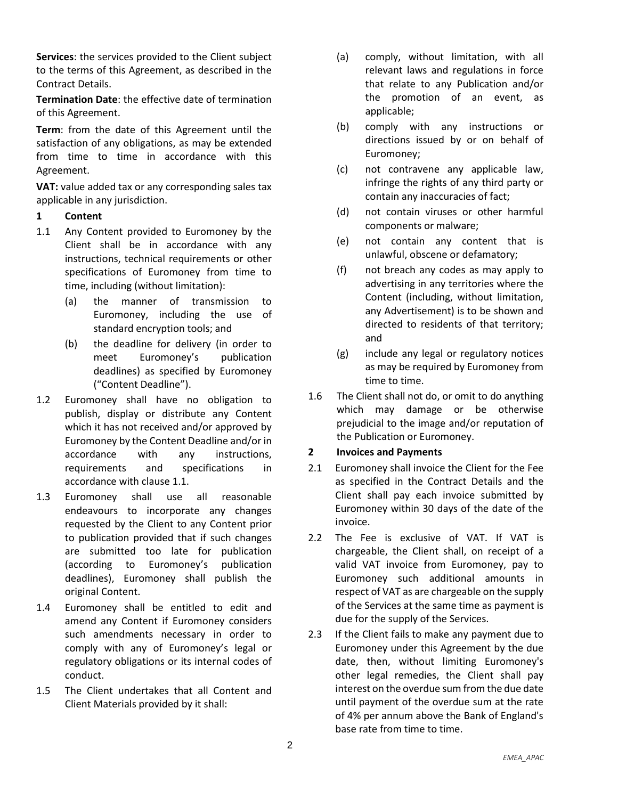**Services**: the services provided to the Client subject to the terms of this Agreement, as described in the Contract Details.

**Termination Date**: the effective date of termination of this Agreement.

**Term**: from the date of this Agreement until the satisfaction of any obligations, as may be extended from time to time in accordance with this Agreement.

**VAT:** value added tax or any corresponding sales tax applicable in any jurisdiction.

## **1 Content**

- <span id="page-1-0"></span>1.1 Any Content provided to Euromoney by the Client shall be in accordance with any instructions, technical requirements or other specifications of Euromoney from time to time, including (without limitation):
	- (a) the manner of transmission to Euromoney, including the use of standard encryption tools; and
	- (b) the deadline for delivery (in order to meet Euromoney's publication deadlines) as specified by Euromoney ("Content Deadline").
- 1.2 Euromoney shall have no obligation to publish, display or distribute any Content which it has not received and/or approved by Euromoney by the Content Deadline and/or in accordance with any instructions, requirements and specifications in accordance with clause [1.1.](#page-1-0)
- 1.3 Euromoney shall use all reasonable endeavours to incorporate any changes requested by the Client to any Content prior to publication provided that if such changes are submitted too late for publication (according to Euromoney's publication deadlines), Euromoney shall publish the original Content.
- 1.4 Euromoney shall be entitled to edit and amend any Content if Euromoney considers such amendments necessary in order to comply with any of Euromoney's legal or regulatory obligations or its internal codes of conduct.
- 1.5 The Client undertakes that all Content and Client Materials provided by it shall:
- (a) comply, without limitation, with all relevant laws and regulations in force that relate to any Publication and/or the promotion of an event, as applicable;
- (b) comply with any instructions or directions issued by or on behalf of Euromoney;
- (c) not contravene any applicable law, infringe the rights of any third party or contain any inaccuracies of fact;
- (d) not contain viruses or other harmful components or malware;
- (e) not contain any content that is unlawful, obscene or defamatory;
- (f) not breach any codes as may apply to advertising in any territories where the Content (including, without limitation, any Advertisement) is to be shown and directed to residents of that territory; and
- (g) include any legal or regulatory notices as may be required by Euromoney from time to time.
- 1.6 The Client shall not do, or omit to do anything which may damage or be otherwise prejudicial to the image and/or reputation of the Publication or Euromoney.

#### **2 Invoices and Payments**

- 2.1 Euromoney shall invoice the Client for the Fee as specified in the Contract Details and the Client shall pay each invoice submitted by Euromoney within 30 days of the date of the invoice.
- 2.2 The Fee is exclusive of VAT. If VAT is chargeable, the Client shall, on receipt of a valid VAT invoice from Euromoney, pay to Euromoney such additional amounts in respect of VAT as are chargeable on the supply of the Services at the same time as payment is due for the supply of the Services.
- 2.3 If the Client fails to make any payment due to Euromoney under this Agreement by the due date, then, without limiting Euromoney's other legal remedies, the Client shall pay interest on the overdue sum from the due date until payment of the overdue sum at the rate of 4% per annum above the Bank of England's base rate from time to time.

2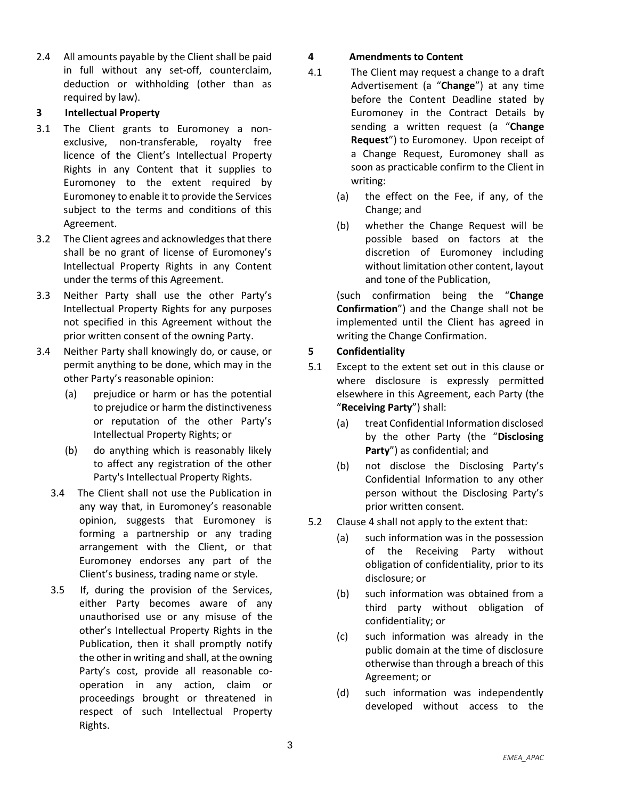2.4 All amounts payable by the Client shall be paid in full without any set-off, counterclaim, deduction or withholding (other than as required by law).

#### **3 Intellectual Property**

- 3.1 The Client grants to Euromoney a nonexclusive, non-transferable, royalty free licence of the Client's Intellectual Property Rights in any Content that it supplies to Euromoney to the extent required by Euromoney to enable it to provide the Services subject to the terms and conditions of this Agreement.
- 3.2 The Client agrees and acknowledges that there shall be no grant of license of Euromoney's Intellectual Property Rights in any Content under the terms of this Agreement.
- 3.3 Neither Party shall use the other Party's Intellectual Property Rights for any purposes not specified in this Agreement without the prior written consent of the owning Party.
- 3.4 Neither Party shall knowingly do, or cause, or permit anything to be done, which may in the other Party's reasonable opinion:
	- (a) prejudice or harm or has the potential to prejudice or harm the distinctiveness or reputation of the other Party's Intellectual Property Rights; or
	- (b) do anything which is reasonably likely to affect any registration of the other Party's Intellectual Property Rights.
	- 3.4 The Client shall not use the Publication in any way that, in Euromoney's reasonable opinion, suggests that Euromoney is forming a partnership or any trading arrangement with the Client, or that Euromoney endorses any part of the Client's business, trading name or style.
	- 3.5 If, during the provision of the Services, either Party becomes aware of any unauthorised use or any misuse of the other's Intellectual Property Rights in the Publication, then it shall promptly notify the other in writing and shall, at the owning Party's cost, provide all reasonable cooperation in any action, claim or proceedings brought or threatened in respect of such Intellectual Property Rights.

## **4 Amendments to Content**

- 4.1 The Client may request a change to a draft Advertisement (a "**Change**") at any time before the Content Deadline stated by Euromoney in the Contract Details by sending a written request (a "**Change Request**") to Euromoney. Upon receipt of a Change Request, Euromoney shall as soon as practicable confirm to the Client in writing:
	- (a) the effect on the Fee, if any, of the Change; and
	- (b) whether the Change Request will be possible based on factors at the discretion of Euromoney including without limitation other content, layout and tone of the Publication,

(such confirmation being the "**Change Confirmation**") and the Change shall not be implemented until the Client has agreed in writing the Change Confirmation.

## **5 Confidentiality**

- <span id="page-2-0"></span>5.1 Except to the extent set out in this clause or where disclosure is expressly permitted elsewhere in this Agreement, each Party (the "**Receiving Party**") shall:
	- (a) treat Confidential Information disclosed by the other Party (the "**Disclosing Party**") as confidential; and
	- (b) not disclose the Disclosing Party's Confidential Information to any other person without the Disclosing Party's prior written consent.
- 5.2 Clause [4](#page-2-0) shall not apply to the extent that:
	- (a) such information was in the possession of the Receiving Party without obligation of confidentiality, prior to its disclosure; or
	- (b) such information was obtained from a third party without obligation of confidentiality; or
	- (c) such information was already in the public domain at the time of disclosure otherwise than through a breach of this Agreement; or
	- (d) such information was independently developed without access to the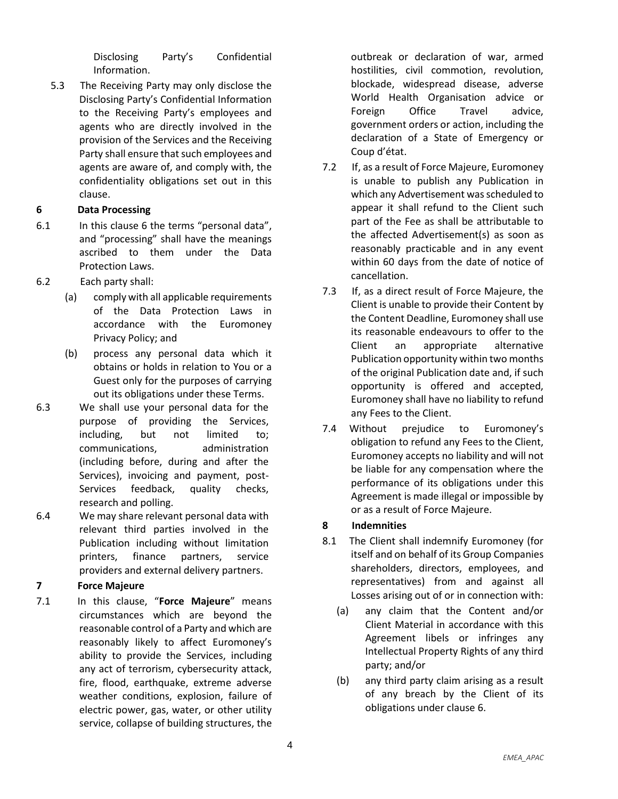Disclosing Party's Confidential Information.

5.3 The Receiving Party may only disclose the Disclosing Party's Confidential Information to the Receiving Party's employees and agents who are directly involved in the provision of the Services and the Receiving Party shall ensure that such employees and agents are aware of, and comply with, the confidentiality obligations set out in this clause.

## <span id="page-3-0"></span>**6 Data Processing**

- 6.1 In this clause 6 the terms "personal data", and "processing" shall have the meanings ascribed to them under the Data Protection Laws.
- 6.2 Each party shall:
	- (a) comply with all applicable requirements of the Data Protection Laws in accordance with the Euromoney Privacy Policy; and
	- (b) process any personal data which it obtains or holds in relation to You or a Guest only for the purposes of carrying out its obligations under these Terms.
- 6.3 We shall use your personal data for the purpose of providing the Services, including, but not limited to; communications, administration (including before, during and after the Services), invoicing and payment, post-Services feedback, quality checks, research and polling.
- 6.4 We may share relevant personal data with relevant third parties involved in the Publication including without limitation printers, finance partners, service providers and external delivery partners.

# **7 Force Majeure**

7.1 In this clause, "**Force Majeure**" means circumstances which are beyond the reasonable control of a Party and which are reasonably likely to affect Euromoney's ability to provide the Services, including any act of terrorism, cybersecurity attack, fire, flood, earthquake, extreme adverse weather conditions, explosion, failure of electric power, gas, water, or other utility service, collapse of building structures, the outbreak or declaration of war, armed hostilities, civil commotion, revolution, blockade, widespread disease, adverse World Health Organisation advice or Foreign Office Travel advice, government orders or action, including the declaration of a State of Emergency or Coup d'état.

- 7.2 If, as a result of Force Majeure, Euromoney is unable to publish any Publication in which any Advertisement was scheduled to appear it shall refund to the Client such part of the Fee as shall be attributable to the affected Advertisement(s) as soon as reasonably practicable and in any event within 60 days from the date of notice of cancellation.
- 7.3 If, as a direct result of Force Majeure, the Client is unable to provide their Content by the Content Deadline, Euromoney shall use its reasonable endeavours to offer to the Client an appropriate alternative Publication opportunity within two months of the original Publication date and, if such opportunity is offered and accepted, Euromoney shall have no liability to refund any Fees to the Client.
- 7.4 Without prejudice to Euromoney's obligation to refund any Fees to the Client, Euromoney accepts no liability and will not be liable for any compensation where the performance of its obligations under this Agreement is made illegal or impossible by or as a result of Force Majeure.

## **8 Indemnities**

- <span id="page-3-1"></span>8.1 The Client shall indemnify Euromoney (for itself and on behalf of its Group Companies shareholders, directors, employees, and representatives) from and against all Losses arising out of or in connection with:
	- (a) any claim that the Content and/or Client Material in accordance with this Agreement libels or infringes any Intellectual Property Rights of any third party; and/or
	- (b) any third party claim arising as a result of any breach by the Client of its obligations under clause [6.](#page-3-0)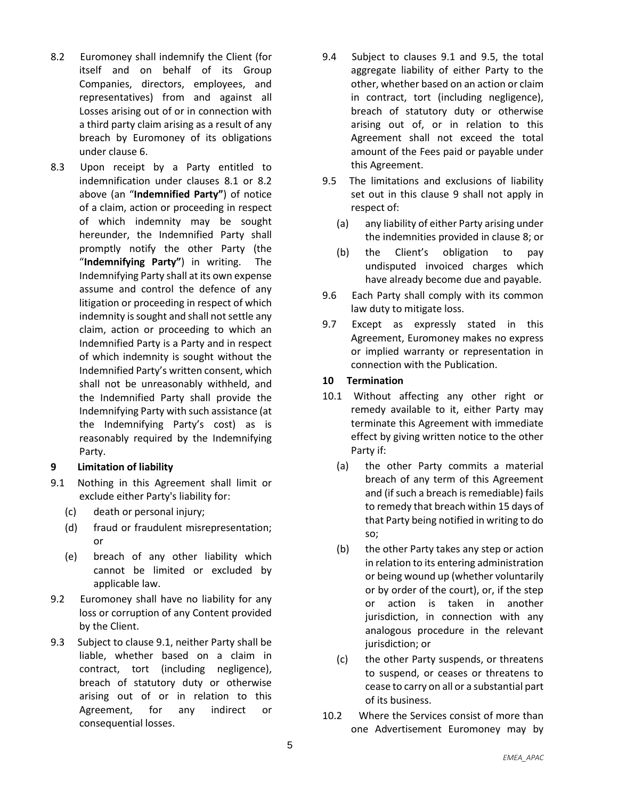- <span id="page-4-0"></span>8.2 Euromoney shall indemnify the Client (for itself and on behalf of its Group Companies, directors, employees, and representatives) from and against all Losses arising out of or in connection with a third party claim arising as a result of any breach by Euromoney of its obligations under clause [6.](#page-3-0)
- 8.3 Upon receipt by a Party entitled to indemnification under clauses [8.1](#page-3-1) or [8.2](#page-4-0) above (an "**Indemnified Party"**) of notice of a claim, action or proceeding in respect of which indemnity may be sought hereunder, the Indemnified Party shall promptly notify the other Party (the "**Indemnifying Party"**) in writing. The Indemnifying Party shall at its own expense assume and control the defence of any litigation or proceeding in respect of which indemnity is sought and shall not settle any claim, action or proceeding to which an Indemnified Party is a Party and in respect of which indemnity is sought without the Indemnified Party's written consent, which shall not be unreasonably withheld, and the Indemnified Party shall provide the Indemnifying Party with such assistance (at the Indemnifying Party's cost) as is reasonably required by the Indemnifying Party.

#### **9 Limitation of liability**

- <span id="page-4-1"></span>9.1 Nothing in this Agreement shall limit or exclude either Party's liability for:
	- (c) death or personal injury;
	- (d) fraud or fraudulent misrepresentation; or
	- (e) breach of any other liability which cannot be limited or excluded by applicable law.
- 9.2 Euromoney shall have no liability for any loss or corruption of any Content provided by the Client.
- 9.3 Subject to clause [9.1,](#page-4-1) neither Party shall be liable, whether based on a claim in contract, tort (including negligence), breach of statutory duty or otherwise arising out of or in relation to this Agreement, for any indirect or consequential losses.
- 9.4 Subject to clauses 9.1 and [9.5,](#page-4-2) the total aggregate liability of either Party to the other, whether based on an action or claim in contract, tort (including negligence), breach of statutory duty or otherwise arising out of, or in relation to this Agreement shall not exceed the total amount of the Fees paid or payable under this Agreement.
- <span id="page-4-2"></span>9.5 The limitations and exclusions of liability set out in this clause 9 shall not apply in respect of:
	- (a) any liability of either Party arising under the indemnities provided in clause 8; or
	- (b) the Client's obligation to pay undisputed invoiced charges which have already become due and payable.
- 9.6 Each Party shall comply with its common law duty to mitigate loss.
- 9.7 Except as expressly stated in this Agreement, Euromoney makes no express or implied warranty or representation in connection with the Publication.

#### **10 Termination**

- <span id="page-4-3"></span>10.1 Without affecting any other right or remedy available to it, either Party may terminate this Agreement with immediate effect by giving written notice to the other Party if:
	- (a) the other Party commits a material breach of any term of this Agreement and (if such a breach is remediable) fails to remedy that breach within 15 days of that Party being notified in writing to do so;
	- (b) the other Party takes any step or action in relation to its entering administration or being wound up (whether voluntarily or by order of the court), or, if the step or action is taken in another jurisdiction, in connection with any analogous procedure in the relevant jurisdiction; or
	- (c) the other Party suspends, or threatens to suspend, or ceases or threatens to cease to carry on all or a substantial part of its business.
- <span id="page-4-4"></span>10.2 Where the Services consist of more than one Advertisement Euromoney may by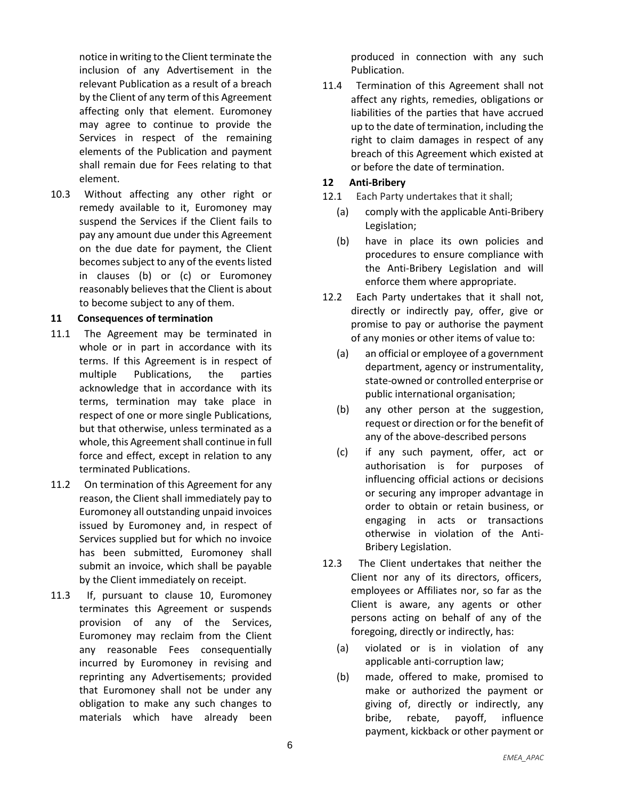notice in writing to the Client terminate the inclusion of any Advertisement in the relevant Publication as a result of a breach by the Client of any term of this Agreement affecting only that element. Euromoney may agree to continue to provide the Services in respect of the remaining elements of the Publication and payment shall remain due for Fees relating to that element.

10.3 Without affecting any other right or remedy available to it, Euromoney may suspend the Services if the Client fails to pay any amount due under this Agreement on the due date for payment, the Client becomes subject to any of the events listed in clauses [\(b\)](#page-4-3) or [\(c\)](#page-4-4) or Euromoney reasonably believes that the Client is about to become subject to any of them.

#### **11 Consequences of termination**

- 11.1 The Agreement may be terminated in whole or in part in accordance with its terms. If this Agreement is in respect of multiple Publications, the parties acknowledge that in accordance with its terms, termination may take place in respect of one or more single Publications, but that otherwise, unless terminated as a whole, this Agreement shall continue in full force and effect, except in relation to any terminated Publications.
- 11.2 On termination of this Agreement for any reason, the Client shall immediately pay to Euromoney all outstanding unpaid invoices issued by Euromoney and, in respect of Services supplied but for which no invoice has been submitted, Euromoney shall submit an invoice, which shall be payable by the Client immediately on receipt.
- 11.3 If, pursuant to clause 10, Euromoney terminates this Agreement or suspends provision of any of the Services, Euromoney may reclaim from the Client any reasonable Fees consequentially incurred by Euromoney in revising and reprinting any Advertisements; provided that Euromoney shall not be under any obligation to make any such changes to materials which have already been

produced in connection with any such Publication.

11.4 Termination of this Agreement shall not affect any rights, remedies, obligations or liabilities of the parties that have accrued up to the date of termination, including the right to claim damages in respect of any breach of this Agreement which existed at or before the date of termination.

#### **12 Anti-Bribery**

- 12.1 Each Party undertakes that it shall;
	- (a) comply with the applicable Anti-Bribery Legislation;
	- (b) have in place its own policies and procedures to ensure compliance with the Anti-Bribery Legislation and will enforce them where appropriate.
- 12.2 Each Party undertakes that it shall not, directly or indirectly pay, offer, give or promise to pay or authorise the payment of any monies or other items of value to:
	- (a) an official or employee of a government department, agency or instrumentality, state-owned or controlled enterprise or public international organisation;
	- (b) any other person at the suggestion, request or direction or for the benefit of any of the above-described persons
	- (c) if any such payment, offer, act or authorisation is for purposes of influencing official actions or decisions or securing any improper advantage in order to obtain or retain business, or engaging in acts or transactions otherwise in violation of the Anti-Bribery Legislation.
- 12.3 The Client undertakes that neither the Client nor any of its directors, officers, employees or Affiliates nor, so far as the Client is aware, any agents or other persons acting on behalf of any of the foregoing, directly or indirectly, has:
	- (a) violated or is in violation of any applicable anti-corruption law;
	- (b) made, offered to make, promised to make or authorized the payment or giving of, directly or indirectly, any bribe, rebate, payoff, influence payment, kickback or other payment or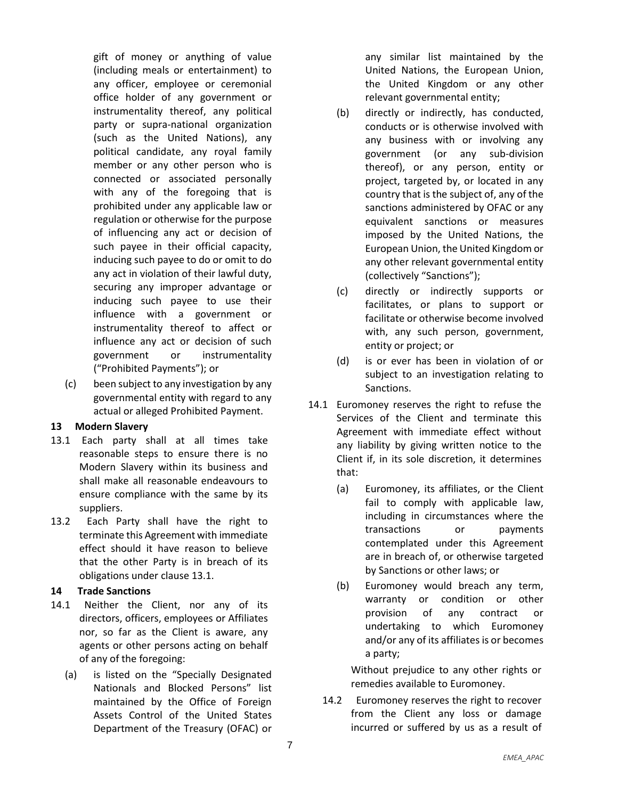gift of money or anything of value (including meals or entertainment) to any officer, employee or ceremonial office holder of any government or instrumentality thereof, any political party or supra-national organization (such as the United Nations), any political candidate, any royal family member or any other person who is connected or associated personally with any of the foregoing that is prohibited under any applicable law or regulation or otherwise for the purpose of influencing any act or decision of such payee in their official capacity, inducing such payee to do or omit to do any act in violation of their lawful duty, securing any improper advantage or inducing such payee to use their influence with a government or instrumentality thereof to affect or influence any act or decision of such government or instrumentality ("Prohibited Payments"); or

(c) been subject to any investigation by any governmental entity with regard to any actual or alleged Prohibited Payment.

#### **13 Modern Slavery**

- 13.1 Each party shall at all times take reasonable steps to ensure there is no Modern Slavery within its business and shall make all reasonable endeavours to ensure compliance with the same by its suppliers.
- 13.2 Each Party shall have the right to terminate this Agreement with immediate effect should it have reason to believe that the other Party is in breach of its obligations under clause 13.1.

## **14 Trade Sanctions**

- 14.1 Neither the Client, nor any of its directors, officers, employees or Affiliates nor, so far as the Client is aware, any agents or other persons acting on behalf of any of the foregoing:
	- (a) is listed on the "Specially Designated Nationals and Blocked Persons" list maintained by the Office of Foreign Assets Control of the United States Department of the Treasury (OFAC) or

any similar list maintained by the United Nations, the European Union, the United Kingdom or any other relevant governmental entity;

- (b) directly or indirectly, has conducted, conducts or is otherwise involved with any business with or involving any government (or any sub-division thereof), or any person, entity or project, targeted by, or located in any country that is the subject of, any of the sanctions administered by OFAC or any equivalent sanctions or measures imposed by the United Nations, the European Union, the United Kingdom or any other relevant governmental entity (collectively "Sanctions");
- (c) directly or indirectly supports or facilitates, or plans to support or facilitate or otherwise become involved with, any such person, government, entity or project; or
- (d) is or ever has been in violation of or subject to an investigation relating to Sanctions.
- 14.1 Euromoney reserves the right to refuse the Services of the Client and terminate this Agreement with immediate effect without any liability by giving written notice to the Client if, in its sole discretion, it determines that:
	- (a) Euromoney, its affiliates, or the Client fail to comply with applicable law, including in circumstances where the transactions or payments contemplated under this Agreement are in breach of, or otherwise targeted by Sanctions or other laws; or
	- (b) Euromoney would breach any term, warranty or condition or other provision of any contract or undertaking to which Euromoney and/or any of its affiliates is or becomes a party;

Without prejudice to any other rights or remedies available to Euromoney.

14.2 Euromoney reserves the right to recover from the Client any loss or damage incurred or suffered by us as a result of